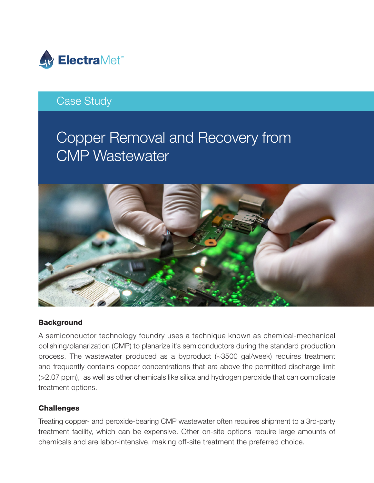

## Case Study

# Copper Removal and Recovery from CMP Wastewater



### **Background**

A semiconductor technology foundry uses a technique known as chemical-mechanical polishing/planarization (CMP) to planarize it's semiconductors during the standard production process. The wastewater produced as a byproduct (~3500 gal/week) requires treatment and frequently contains copper concentrations that are above the permitted discharge limit (>2.07 ppm), as well as other chemicals like silica and hydrogen peroxide that can complicate treatment options.

### **Challenges**

Treating copper- and peroxide-bearing CMP wastewater often requires shipment to a 3rd-party treatment facility, which can be expensive. Other on-site options require large amounts of chemicals and are labor-intensive, making off-site treatment the preferred choice.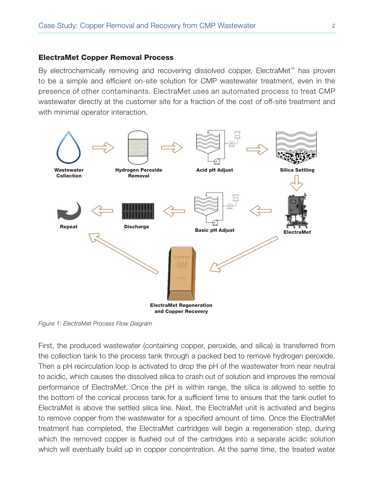#### ElectraMet Copper Removal Process

By electrochemically removing and recovering dissolved copper, ElectraMet™ has proven to be a simple and efficient on-site solution for CMP wastewater treatment, even in the presence of other contaminants. ElectraMet uses an automated process to treat CMP wastewater directly at the customer site for a fraction of the cost of off-site treatment and with minimal operator interaction.



*Figure 1: ElectraMet Process Flow Diagram*

First, the produced wastewater (containing copper, peroxide, and silica) is transferred from the collection tank to the process tank through a packed bed to remove hydrogen peroxide. Then a pH recirculation loop is activated to drop the pH of the wastewater from near neutral to acidic, which causes the dissolved silica to crash out of solution and improves the removal performance of ElectraMet. Once the pH is within range, the silica is allowed to settle to the bottom of the conical process tank for a sufficient time to ensure that the tank outlet to ElectraMet is above the settled silica line. Next, the ElectraMet unit is activated and begins to remove copper from the wastewater for a specified amount of time. Once the ElectraMet treatment has completed, the ElectraMet cartridges will begin a regeneration step, during which the removed copper is flushed out of the cartridges into a separate acidic solution which will eventually build up in copper concentration. At the same time, the treated water